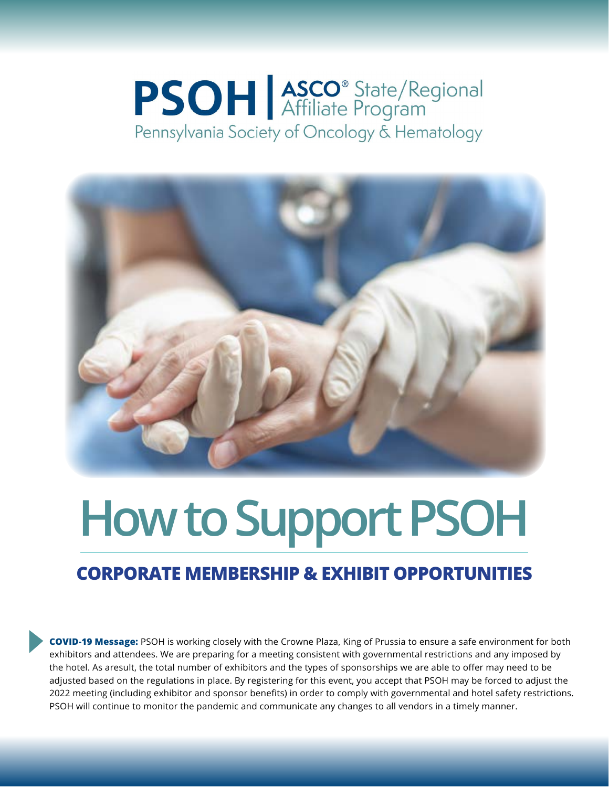## **PSOH** ASCO<sup>®</sup> State/Regional Pennsylvania Society of Oncology & Hematology



# **How to Support PSOH**

#### **CORPORATE MEMBERSHIP & EXHIBIT OPPORTUNITIES**

**COVID-19 Message:** PSOH is working closely with the Crowne Plaza, King of Prussia to ensure a safe environment for both exhibitors and attendees. We are preparing for a meeting consistent with governmental restrictions and any imposed by the hotel. As aresult, the total number of exhibitors and the types of sponsorships we are able to offer may need to be adjusted based on the regulations in place. By registering for this event, you accept that PSOH may be forced to adjust the 2022 meeting (including exhibitor and sponsor benefits) in order to comply with governmental and hotel safety restrictions. PSOH will continue to monitor the pandemic and communicate any changes to all vendors in a timely manner.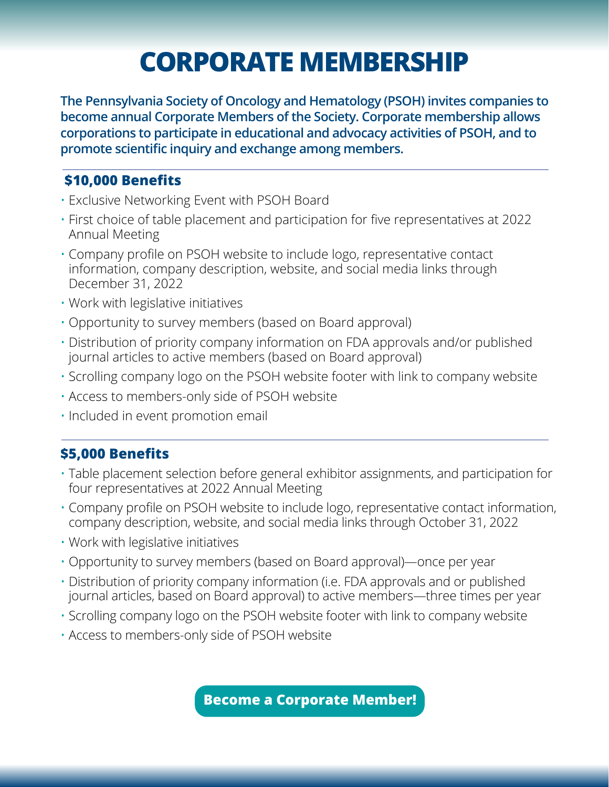### **CORPORATE MEMBERSHIP**

**The Pennsylvania Society of Oncology and Hematology (PSOH) invites companies to become annual Corporate Members of the Society. Corporate membership allows corporations to participate in educational and advocacy activities of PSOH, and to promote scientific inquiry and exchange among members.**

#### **\$10,000 Benefits**

- Exclusive Networking Event with PSOH Board
- First choice of table placement and participation for five representatives at 2022 Annual Meeting
- Company profile on PSOH website to include logo, representative contact information, company description, website, and social media links through December 31, 2022
- Work with legislative initiatives
- Opportunity to survey members (based on Board approval)
- Distribution of priority company information on FDA approvals and/or published journal articles to active members (based on Board approval)
- Scrolling company logo on the PSOH website footer with link to company website
- Access to members-only side of PSOH website
- Included in event promotion email

#### **\$5,000 Benefits**

- Table placement selection before general exhibitor assignments, and participation for four representatives at 2022 Annual Meeting
- Company profile on PSOH website to include logo, representative contact information, company description, website, and social media links through October 31, 2022
- Work with legislative initiatives
- Opportunity to survey members (based on Board approval)—once per year
- Distribution of priority company information (i.e. FDA approvals and or published journal articles, based on Board approval) to active members—three times per year
- Scrolling company logo on the PSOH website footer with link to company website
- Access to members-only side of PSOH website

**[Become a Corporate Member!](https://web.psoh.org/forms/7)**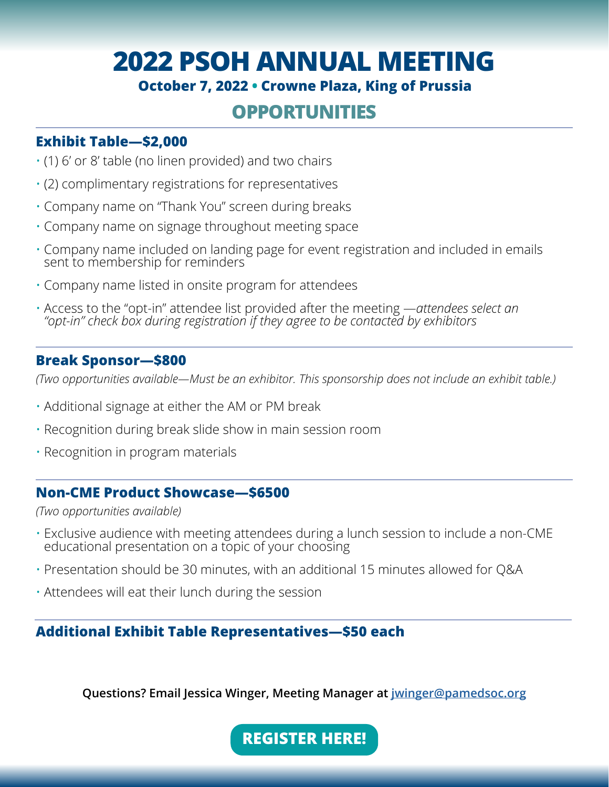### **2022 PSOH ANNUAL MEETING**

#### **October 7, 2022 • Crowne Plaza, King of Prussia**

### **OPPORTUNITIES**

#### **Exhibit Table—\$2,000**

- (1) 6' or 8' table (no linen provided) and two chairs
- (2) complimentary registrations for representatives
- Company name on "Thank You" screen during breaks
- Company name on signage throughout meeting space
- Company name included on landing page for event registration and included in emails sent to membership for reminders
- Company name listed in onsite program for attendees
- Access to the "opt-in" attendee list provided after the meeting —*attendees select an "opt-in" check box during registration if they agree to be contacted by exhibitors*

#### **Break Sponsor—\$800**

*(Two opportunities available—Must be an exhibitor. This sponsorship does not include an exhibit table.)*

- Additional signage at either the AM or PM break
- Recognition during break slide show in main session room
- Recognition in program materials

#### **Non-CME Product Showcase—\$6500**

*(Two opportunities available)*

- Exclusive audience with meeting attendees during a lunch session to include a non-CME educational presentation on a topic of your choosing
- Presentation should be 30 minutes, with an additional 15 minutes allowed for Q&A
- Attendees will eat their lunch during the session

#### **Additional Exhibit Table Representatives—\$50 each**

**Questions? Email Jessica Winger, Meeting Manager at [jwinger@pamedsoc.org](mailto:jwinger%40pamedsoc.org?subject=)**